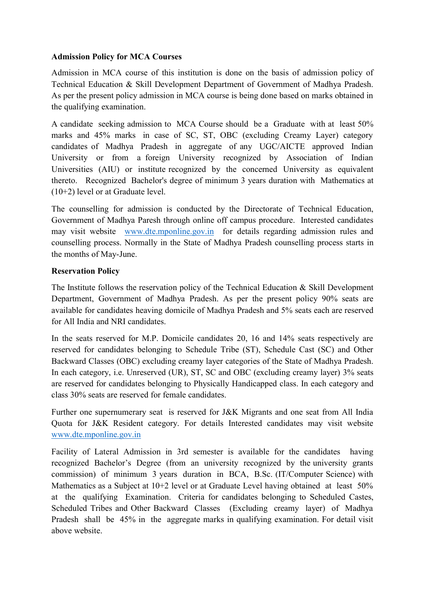## Admission Policy for MCA Courses

Admission in MCA course of this institution is done on the basis of admission policy of Technical Education & Skill Development Department of Government of Madhya Pradesh. As per the present policy admission in MCA course is being done based on marks obtained in the qualifying examination.

A candidate seeking admission to MCA Course should be a Graduate with at least 50% marks and 45% marks in case of SC, ST, OBC (excluding Creamy Layer) category candidates of Madhya Pradesh in aggregate of any UGC/AICTE approved Indian University or from a foreign University recognized by Association of Indian Universities (AIU) or institute recognized by the concerned University as equivalent thereto. Recognized Bachelor's degree of minimum 3 years duration with Mathematics at (10+2) level or at Graduate level.

The counselling for admission is conducted by the Directorate of Technical Education, Government of Madhya Paresh through online off campus procedure. Interested candidates may visit website www.dte.mponline.gov.in for details regarding admission rules and counselling process. Normally in the State of Madhya Pradesh counselling process starts in the months of May-June.

## Reservation Policy

The Institute follows the reservation policy of the Technical Education & Skill Development Department, Government of Madhya Pradesh. As per the present policy 90% seats are available for candidates heaving domicile of Madhya Pradesh and 5% seats each are reserved for All India and NRI candidates.

In the seats reserved for M.P. Domicile candidates 20, 16 and 14% seats respectively are reserved for candidates belonging to Schedule Tribe (ST), Schedule Cast (SC) and Other Backward Classes (OBC) excluding creamy layer categories of the State of Madhya Pradesh. In each category, i.e. Unreserved (UR), ST, SC and OBC (excluding creamy layer) 3% seats are reserved for candidates belonging to Physically Handicapped class. In each category and class 30% seats are reserved for female candidates.

Further one supernumerary seat is reserved for J&K Migrants and one seat from All India Quota for J&K Resident category. For details Interested candidates may visit website www.dte.mponline.gov.in

Facility of Lateral Admission in 3rd semester is available for the candidates having recognized Bachelor's Degree (from an university recognized by the university grants commission) of minimum 3 years duration in BCA, B.Sc. (IT/Computer Science) with Mathematics as a Subject at 10+2 level or at Graduate Level having obtained at least 50% at the qualifying Examination. Criteria for candidates belonging to Scheduled Castes, Scheduled Tribes and Other Backward Classes (Excluding creamy layer) of Madhya Pradesh shall be 45% in the aggregate marks in qualifying examination. For detail visit above website.